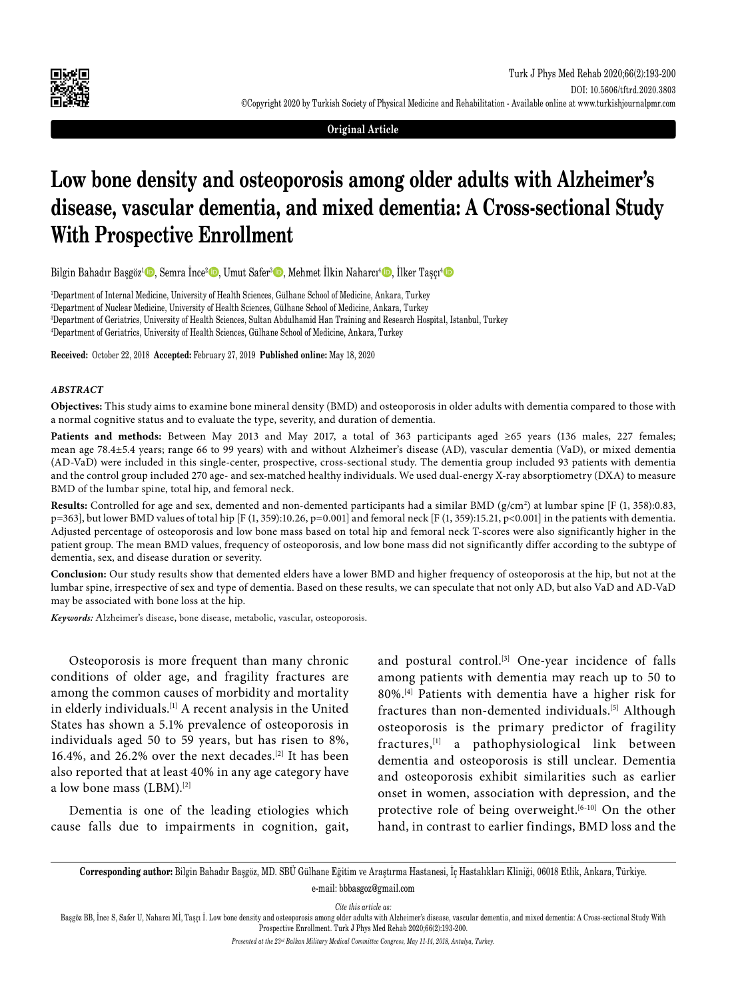

**Original Article**

# **Low bone density and osteoporosis among older adults with Alzheimer's disease, vascular dementia, and mixed dementia: A Cross-sectional Study With Prospective Enrollment**

Bilgin Bahadır Başgöz<sup>ı</sup> D, Semra İnce<sup>2</sup> D, Umut Safer<sup>3</sup> D, Mehmet İlkin Naharcı<sup>4</sup> D, İlker Taşçı<sup>4</sup> D

 Department of Internal Medicine, University of Health Sciences, Gülhane School of Medicine, Ankara, Turkey Department of Nuclear Medicine, University of Health Sciences, Gülhane School of Medicine, Ankara, Turkey Department of Geriatrics, University of Health Sciences, Sultan Abdulhamid Han Training and Research Hospital, Istanbul, Turkey Department of Geriatrics, University of Health Sciences, Gülhane School of Medicine, Ankara, Turkey

**Received:** October 22, 2018 **Accepted:** February 27, 2019 **Published online:** May 18, 2020

#### *ABSTRACT*

**Objectives:** This study aims to examine bone mineral density (BMD) and osteoporosis in older adults with dementia compared to those with a normal cognitive status and to evaluate the type, severity, and duration of dementia.

**Patients and methods:** Between May 2013 and May 2017, a total of 363 participants aged ≥65 years (136 males, 227 females; mean age 78.4±5.4 years; range 66 to 99 years) with and without Alzheimer's disease (AD), vascular dementia (VaD), or mixed dementia (AD-VaD) were included in this single-center, prospective, cross-sectional study. The dementia group included 93 patients with dementia and the control group included 270 age- and sex-matched healthy individuals. We used dual-energy X-ray absorptiometry (DXA) to measure BMD of the lumbar spine, total hip, and femoral neck.

Results: Controlled for age and sex, demented and non-demented participants had a similar BMD (g/cm<sup>2</sup>) at lumbar spine [F (1, 358):0.83, p=363], but lower BMD values of total hip [F (1, 359):10.26, p=0.001] and femoral neck [F (1, 359):15.21, p<0.001] in the patients with dementia. Adjusted percentage of osteoporosis and low bone mass based on total hip and femoral neck T-scores were also significantly higher in the patient group. The mean BMD values, frequency of osteoporosis, and low bone mass did not significantly differ according to the subtype of dementia, sex, and disease duration or severity.

**Conclusion:** Our study results show that demented elders have a lower BMD and higher frequency of osteoporosis at the hip, but not at the lumbar spine, irrespective of sex and type of dementia. Based on these results, we can speculate that not only AD, but also VaD and AD-VaD may be associated with bone loss at the hip.

*Keywords:* Alzheimer's disease, bone disease, metabolic, vascular, osteoporosis.

Osteoporosis is more frequent than many chronic conditions of older age, and fragility fractures are among the common causes of morbidity and mortality in elderly individuals.[1] A recent analysis in the United States has shown a 5.1% prevalence of osteoporosis in individuals aged 50 to 59 years, but has risen to 8%, 16.4%, and 26.2% over the next decades.[2] It has been also reported that at least 40% in any age category have a low bone mass (LBM).[2]

Dementia is one of the leading etiologies which cause falls due to impairments in cognition, gait, and postural control.<sup>[3]</sup> One-year incidence of falls among patients with dementia may reach up to 50 to 80%.[4] Patients with dementia have a higher risk for fractures than non-demented individuals.[5] Although osteoporosis is the primary predictor of fragility fractures,[1] a pathophysiological link between dementia and osteoporosis is still unclear. Dementia and osteoporosis exhibit similarities such as earlier onset in women, association with depression, and the protective role of being overweight. $[6-10]$  On the other hand, in contrast to earlier findings, BMD loss and the

**Corresponding author:** Bilgin Bahadır Başgöz, MD. SBÜ Gülhane Eğitim ve Araştırma Hastanesi, İç Hastalıkları Kliniği, 06018 Etlik, Ankara, Türkiye. e-mail: bbbasgoz@gmail.com

*Cite this article as:*

Başgöz BB, İnce S, Safer U, Naharcı Mİ, Taşçı İ. Low bone density and osteoporosis among older adults with Alzheimer's disease, vascular dementia, and mixed dementia: A Cross-sectional Study With Prospective Enrollment. Turk J Phys Med Rehab 2020;66(2):193-200.

*Presented at the 23rd Balkan Military Medical Committee Congress, May 11-14, 2018, Antalya, Turkey.*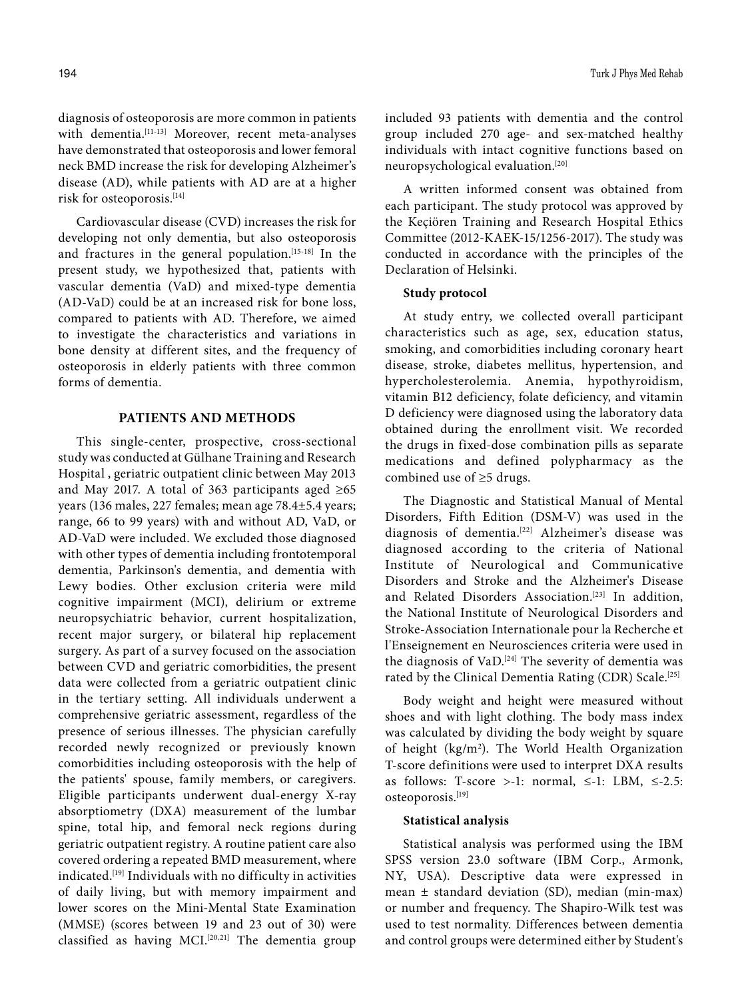diagnosis of osteoporosis are more common in patients with dementia.[11-13] Moreover, recent meta-analyses have demonstrated that osteoporosis and lower femoral neck BMD increase the risk for developing Alzheimer's disease (AD), while patients with AD are at a higher risk for osteoporosis.[14]

Cardiovascular disease (CVD) increases the risk for developing not only dementia, but also osteoporosis and fractures in the general population.<sup>[15-18]</sup> In the present study, we hypothesized that, patients with vascular dementia (VaD) and mixed-type dementia (AD-VaD) could be at an increased risk for bone loss, compared to patients with AD. Therefore, we aimed to investigate the characteristics and variations in bone density at different sites, and the frequency of osteoporosis in elderly patients with three common forms of dementia.

## **PATIENTS AND METHODS**

This single-center, prospective, cross-sectional study was conducted at Gülhane Training and Research Hospital , geriatric outpatient clinic between May 2013 and May 2017. A total of 363 participants aged ≥65 years (136 males, 227 females; mean age 78.4±5.4 years; range, 66 to 99 years) with and without AD, VaD, or AD-VaD were included. We excluded those diagnosed with other types of dementia including frontotemporal dementia, Parkinson's dementia, and dementia with Lewy bodies. Other exclusion criteria were mild cognitive impairment (MCI), delirium or extreme neuropsychiatric behavior, current hospitalization, recent major surgery, or bilateral hip replacement surgery. As part of a survey focused on the association between CVD and geriatric comorbidities, the present data were collected from a geriatric outpatient clinic in the tertiary setting. All individuals underwent a comprehensive geriatric assessment, regardless of the presence of serious illnesses. The physician carefully recorded newly recognized or previously known comorbidities including osteoporosis with the help of the patients' spouse, family members, or caregivers. Eligible participants underwent dual-energy X-ray absorptiometry (DXA) measurement of the lumbar spine, total hip, and femoral neck regions during geriatric outpatient registry. A routine patient care also covered ordering a repeated BMD measurement, where indicated.[19] Individuals with no difficulty in activities of daily living, but with memory impairment and lower scores on the Mini-Mental State Examination (MMSE) (scores between 19 and 23 out of 30) were classified as having MCI.<sup>[20,21]</sup> The dementia group

included 93 patients with dementia and the control group included 270 age- and sex-matched healthy individuals with intact cognitive functions based on neuropsychological evaluation.[20]

A written informed consent was obtained from each participant. The study protocol was approved by the Keçiören Training and Research Hospital Ethics Committee (2012-KAEK-15/1256-2017). The study was conducted in accordance with the principles of the Declaration of Helsinki.

## **Study protocol**

At study entry, we collected overall participant characteristics such as age, sex, education status, smoking, and comorbidities including coronary heart disease, stroke, diabetes mellitus, hypertension, and hypercholesterolemia. Anemia, hypothyroidism, vitamin B12 deficiency, folate deficiency, and vitamin D deficiency were diagnosed using the laboratory data obtained during the enrollment visit. We recorded the drugs in fixed-dose combination pills as separate medications and defined polypharmacy as the combined use of ≥5 drugs.

The Diagnostic and Statistical Manual of Mental Disorders, Fifth Edition (DSM-V) was used in the diagnosis of dementia.<sup>[22]</sup> Alzheimer's disease was diagnosed according to the criteria of National Institute of Neurological and Communicative Disorders and Stroke and the Alzheimer's Disease and Related Disorders Association.<sup>[23]</sup> In addition, the National Institute of Neurological Disorders and Stroke-Association Internationale pour la Recherche et l'Enseignement en Neurosciences criteria were used in the diagnosis of VaD.<sup>[24]</sup> The severity of dementia was rated by the Clinical Dementia Rating (CDR) Scale.<sup>[25]</sup>

Body weight and height were measured without shoes and with light clothing. The body mass index was calculated by dividing the body weight by square of height (kg/m<sup>2</sup>). The World Health Organization T-score definitions were used to interpret DXA results as follows: T-score >-1: normal,  $\leq$ -1: LBM,  $\leq$ -2.5: osteoporosis.[19]

#### **Statistical analysis**

Statistical analysis was performed using the IBM SPSS version 23.0 software (IBM Corp., Armonk, NY, USA). Descriptive data were expressed in mean ± standard deviation (SD), median (min-max) or number and frequency. The Shapiro-Wilk test was used to test normality. Differences between dementia and control groups were determined either by Student's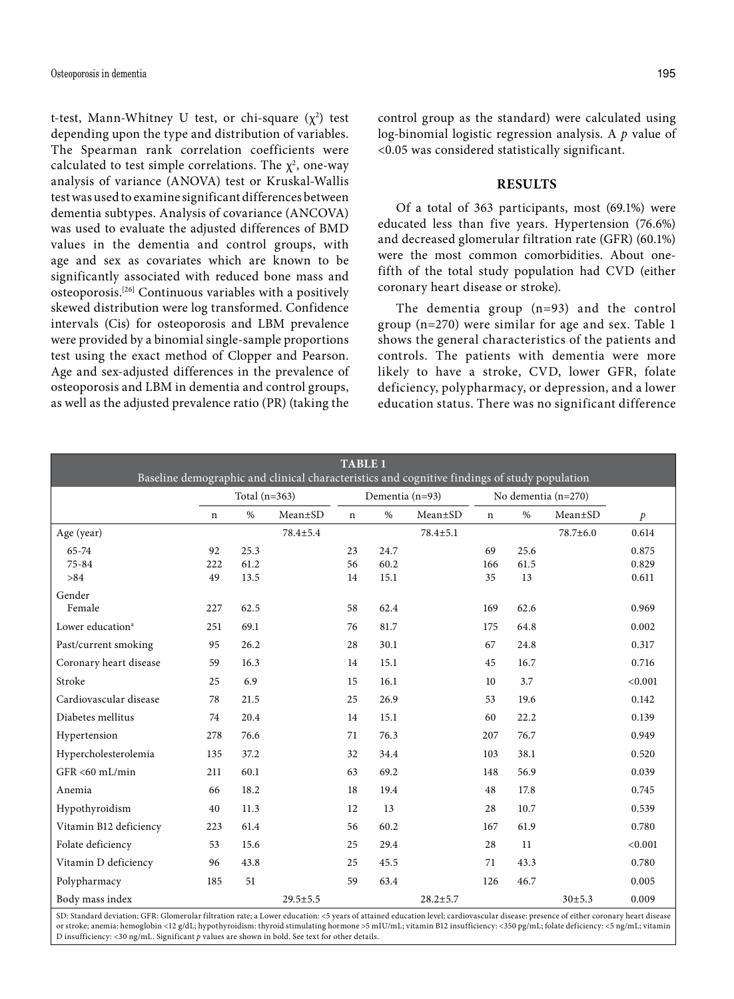t-test, Mann-Whitney U test, or chi-square  $(\chi^2)$  test depending upon the type and distribution of variables. The Spearman rank correlation coefficients were calculated to test simple correlations. The  $\chi^2$ , one-way analysis of variance (ANOVA) test or Kruskal-Wallis test was used to examine significant differences between dementia subtypes. Analysis of covariance (ANCOVA) was used to evaluate the adjusted differences of BMD values in the dementia and control groups, with age and sex as covariates which are known to be significantly associated with reduced bone mass and osteoporosis.[26] Continuous variables with a positively skewed distribution were log transformed. Confidence intervals (Cis) for osteoporosis and LBM prevalence were provided by a binomial single-sample proportions test using the exact method of Clopper and Pearson. Age and sex-adjusted differences in the prevalence of osteoporosis and LBM in dementia and control groups, as well as the adjusted prevalence ratio (PR) (taking the

control group as the standard) were calculated using log-binomial logistic regression analysis. A *p* value of <0.05 was considered statistically significant.

#### **RESULTS**

Of a total of 363 participants, most (69.1%) were educated less than five years. Hypertension (76.6%) and decreased glomerular filtration rate (GFR) (60.1%) were the most common comorbidities. About onefifth of the total study population had CVD (either coronary heart disease or stroke).

The dementia group (n=93) and the control group (n=270) were similar for age and sex. Table 1 shows the general characteristics of the patients and controls. The patients with dementia were more likely to have a stroke, CVD, lower GFR, folate deficiency, polypharmacy, or depression, and a lower education status. There was no significant difference

| <b>TABLE 1</b><br>Baseline demographic and clinical characteristics and cognitive findings of study population |                 |      |                |                 |      |                |                       |      |                |               |
|----------------------------------------------------------------------------------------------------------------|-----------------|------|----------------|-----------------|------|----------------|-----------------------|------|----------------|---------------|
|                                                                                                                | Total $(n=363)$ |      |                | Dementia (n=93) |      |                | No dementia $(n=270)$ |      |                |               |
|                                                                                                                | $\mathbf n$     | $\%$ | $Mean \pm SD$  | $\mathbf n$     | $\%$ | $Mean \pm SD$  | n                     | $\%$ | $Mean \pm SD$  | $\mathcal{P}$ |
| Age (year)                                                                                                     |                 |      | 78.4±5.4       |                 |      | $78.4 \pm 5.1$ |                       |      | $78.7 \pm 6.0$ | 0.614         |
| 65-74                                                                                                          | 92              | 25.3 |                | 23              | 24.7 |                | 69                    | 25.6 |                | 0.875         |
| $75 - 84$                                                                                                      | 222             | 61.2 |                | 56              | 60.2 |                | 166                   | 61.5 |                | 0.829         |
| >84                                                                                                            | 49              | 13.5 |                | 14              | 15.1 |                | 35                    | 13   |                | 0.611         |
| Gender                                                                                                         |                 |      |                |                 |      |                |                       |      |                |               |
| Female                                                                                                         | 227             | 62.5 |                | 58              | 62.4 |                | 169                   | 62.6 |                | 0.969         |
| Lower education <sup>a</sup>                                                                                   | 251             | 69.1 |                | 76              | 81.7 |                | 175                   | 64.8 |                | 0.002         |
| Past/current smoking                                                                                           | 95              | 26.2 |                | 28              | 30.1 |                | 67                    | 24.8 |                | 0.317         |
| Coronary heart disease                                                                                         | 59              | 16.3 |                | 14              | 15.1 |                | 45                    | 16.7 |                | 0.716         |
| Stroke                                                                                                         | 25              | 6.9  |                | 15              | 16.1 |                | 10                    | 3.7  |                | < 0.001       |
| Cardiovascular disease                                                                                         | 78              | 21.5 |                | 25              | 26.9 |                | 53                    | 19.6 |                | 0.142         |
| Diabetes mellitus                                                                                              | 74              | 20.4 |                | 14              | 15.1 |                | 60                    | 22.2 |                | 0.139         |
| Hypertension                                                                                                   | 278             | 76.6 |                | 71              | 76.3 |                | 207                   | 76.7 |                | 0.949         |
| Hypercholesterolemia                                                                                           | 135             | 37.2 |                | 32              | 34.4 |                | 103                   | 38.1 |                | 0.520         |
| GFR <60 mL/min                                                                                                 | 211             | 60.1 |                | 63              | 69.2 |                | 148                   | 56.9 |                | 0.039         |
| Anemia                                                                                                         | 66              | 18.2 |                | 18              | 19.4 |                | 48                    | 17.8 |                | 0.745         |
| Hypothyroidism                                                                                                 | 40              | 11.3 |                | 12              | 13   |                | 28                    | 10.7 |                | 0.539         |
| Vitamin B12 deficiency                                                                                         | 223             | 61.4 |                | 56              | 60.2 |                | 167                   | 61.9 |                | 0.780         |
| Folate deficiency                                                                                              | 53              | 15.6 |                | 25              | 29.4 |                | 28                    | 11   |                | < 0.001       |
| Vitamin D deficiency                                                                                           | 96              | 43.8 |                | 25              | 45.5 |                | 71                    | 43.3 |                | 0.780         |
| Polypharmacy                                                                                                   | 185             | 51   |                | 59              | 63.4 |                | 126                   | 46.7 |                | 0.005         |
| Body mass index                                                                                                |                 |      | $29.5 \pm 5.5$ |                 |      | $28.2 \pm 5.7$ |                       |      | 30±5.3         | 0.009         |

SD: Standard deviation; GFR: Glomerular filtration rate; a Lower education: <5 years of attained education level; cardiovascular disease: presence of either coronary heart disease or stroke; anemia: hemoglobin <12 g/dL; hypothyroidism: thyroid stimulating hormone >5 mIU/mL; vitamin B12 insufficiency: <350 pg/mL; folate deficiency: <5 ng/mL; vitamin D insufficiency: <30 ng/mL. Significant *p* values are shown in bold. See text for other details.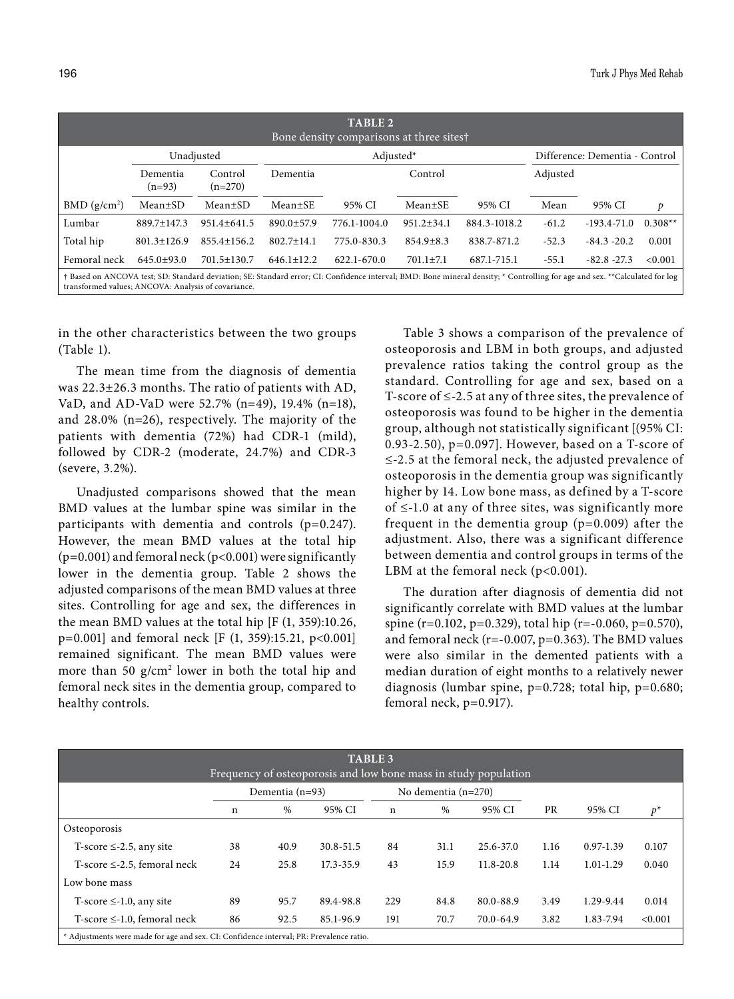| TABLE <sub>2</sub><br>Bone density comparisons at three sites†                                                                                                                                                                     |                      |                      |                  |              |                                |              |          |                 |           |  |  |
|------------------------------------------------------------------------------------------------------------------------------------------------------------------------------------------------------------------------------------|----------------------|----------------------|------------------|--------------|--------------------------------|--------------|----------|-----------------|-----------|--|--|
|                                                                                                                                                                                                                                    |                      | Unadjusted           |                  | Adjusted*    | Difference: Dementia - Control |              |          |                 |           |  |  |
|                                                                                                                                                                                                                                    | Dementia<br>$(n=93)$ | Control<br>$(n=270)$ | Dementia         |              | Control                        |              | Adjusted |                 |           |  |  |
| BMD (g/cm <sup>2</sup> )                                                                                                                                                                                                           | $Mean \pm SD$        | Mean±SD              | Mean±SE          | 95% CI       | $Mean \pm SE$                  | 95% CI       | Mean     | 95% CI          | p         |  |  |
| Lumbar                                                                                                                                                                                                                             | 889.7±147.3          | $951.4 \pm 641.5$    | 890.0±57.9       | 776.1-1004.0 | $951.2 \pm 34.1$               | 884.3-1018.2 | $-61.2$  | $-193.4 - 71.0$ | $0.308**$ |  |  |
| Total hip                                                                                                                                                                                                                          | $801.3 \pm 126.9$    | $855.4 \pm 156.2$    | $802.7 \pm 14.1$ | 775.0-830.3  | $854.9 \pm 8.3$                | 838.7-871.2  | $-52.3$  | $-84.3 - 20.2$  | 0.001     |  |  |
| Femoral neck                                                                                                                                                                                                                       | $645.0+93.0$         | $701.5 \pm 130.7$    | $646.1 \pm 12.2$ | 622.1-670.0  | $701.1 \pm 7.1$                | 687.1-715.1  | $-55.1$  | $-82.8 - 27.3$  | < 0.001   |  |  |
| † Based on ANCOVA test; SD: Standard deviation; SE: Standard error; CI: Confidence interval; BMD: Bone mineral density; * Controlling for age and sex. **Calculated for log<br>transformed values; ANCOVA: Analysis of covariance. |                      |                      |                  |              |                                |              |          |                 |           |  |  |

in the other characteristics between the two groups (Table 1).

The mean time from the diagnosis of dementia was 22.3±26.3 months. The ratio of patients with AD, VaD, and AD-VaD were 52.7% (n=49), 19.4% (n=18), and 28.0% (n=26), respectively. The majority of the patients with dementia (72%) had CDR-1 (mild), followed by CDR-2 (moderate, 24.7%) and CDR-3 (severe, 3.2%).

Unadjusted comparisons showed that the mean BMD values at the lumbar spine was similar in the participants with dementia and controls (p=0.247). However, the mean BMD values at the total hip  $(p=0.001)$  and femoral neck  $(p<0.001)$  were significantly lower in the dementia group. Table 2 shows the adjusted comparisons of the mean BMD values at three sites. Controlling for age and sex, the differences in the mean BMD values at the total hip [F (1, 359):10.26,  $p=0.001$ ] and femoral neck [F (1, 359):15.21, p<0.001] remained significant. The mean BMD values were more than 50  $g/cm<sup>2</sup>$  lower in both the total hip and femoral neck sites in the dementia group, compared to healthy controls.

Table 3 shows a comparison of the prevalence of osteoporosis and LBM in both groups, and adjusted prevalence ratios taking the control group as the standard. Controlling for age and sex, based on a T-score of ≤-2.5 at any of three sites, the prevalence of osteoporosis was found to be higher in the dementia group, although not statistically significant [(95% CI: 0.93-2.50), p=0.097]. However, based on a T-score of ≤-2.5 at the femoral neck, the adjusted prevalence of osteoporosis in the dementia group was significantly higher by 14. Low bone mass, as defined by a T-score of ≤-1.0 at any of three sites, was significantly more frequent in the dementia group  $(p=0.009)$  after the adjustment. Also, there was a significant difference between dementia and control groups in terms of the LBM at the femoral neck (p<0.001).

The duration after diagnosis of dementia did not significantly correlate with BMD values at the lumbar spine (r=0.102, p=0.329), total hip (r=-0.060, p=0.570), and femoral neck (r=-0.007, p=0.363). The BMD values were also similar in the demented patients with a median duration of eight months to a relatively newer diagnosis (lumbar spine, p=0.728; total hip, p=0.680; femoral neck, p=0.917).

| <b>TABLE 3</b><br>Frequency of osteoporosis and low bone mass in study population       |                   |      |               |                       |      |               |           |               |         |  |
|-----------------------------------------------------------------------------------------|-------------------|------|---------------|-----------------------|------|---------------|-----------|---------------|---------|--|
|                                                                                         | Dementia $(n=93)$ |      |               | No dementia $(n=270)$ |      |               |           |               |         |  |
|                                                                                         | n                 | $\%$ | 95% CI        | $\mathbf n$           | %    | 95% CI        | <b>PR</b> | 95% CI        | $p^*$   |  |
| Osteoporosis                                                                            |                   |      |               |                       |      |               |           |               |         |  |
| T-score $\leq$ -2.5, any site                                                           | 38                | 40.9 | $30.8 - 51.5$ | 84                    | 31.1 | $25.6 - 37.0$ | 1.16      | $0.97 - 1.39$ | 0.107   |  |
| T-score $\leq$ -2.5, femoral neck                                                       | 24                | 25.8 | $17.3 - 35.9$ | 43                    | 15.9 | $11.8 - 20.8$ | 1.14      | $1.01 - 1.29$ | 0.040   |  |
| Low bone mass                                                                           |                   |      |               |                       |      |               |           |               |         |  |
| T-score $\leq$ -1.0, any site                                                           | 89                | 95.7 | 89.4-98.8     | 229                   | 84.8 | 80.0-88.9     | 3.49      | 1.29-9.44     | 0.014   |  |
| T-score $\leq$ -1.0, femoral neck                                                       | 86                | 92.5 | 85.1-96.9     | 191                   | 70.7 | $70.0 - 64.9$ | 3.82      | 1.83-7.94     | < 0.001 |  |
| * Adjustments were made for age and sex. CI: Confidence interval; PR: Prevalence ratio. |                   |      |               |                       |      |               |           |               |         |  |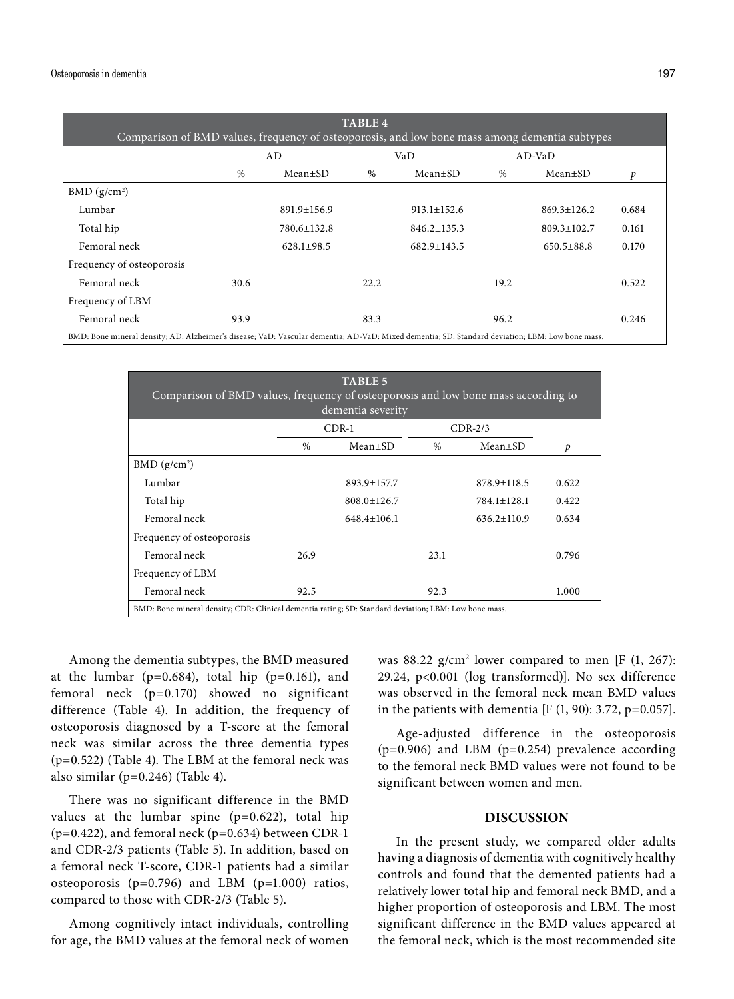| <b>TABLE 4</b><br>Comparison of BMD values, frequency of osteoporosis, and low bone mass among dementia subtypes                                |      |                   |               |                   |          |                   |       |  |  |  |
|-------------------------------------------------------------------------------------------------------------------------------------------------|------|-------------------|---------------|-------------------|----------|-------------------|-------|--|--|--|
|                                                                                                                                                 |      | AD                |               | VaD               | $AD-VaD$ |                   |       |  |  |  |
|                                                                                                                                                 | $\%$ | $Mean \pm SD$     | $\frac{0}{0}$ | Mean±SD           | $\%$     | $Mean \pm SD$     | p     |  |  |  |
| BMD (g/cm <sup>2</sup> )                                                                                                                        |      |                   |               |                   |          |                   |       |  |  |  |
| Lumbar                                                                                                                                          |      | $891.9 \pm 156.9$ |               | $913.1 \pm 152.6$ |          | $869.3 \pm 126.2$ | 0.684 |  |  |  |
| Total hip                                                                                                                                       |      | 780.6±132.8       |               | $846.2 \pm 135.3$ |          | $809.3 \pm 102.7$ | 0.161 |  |  |  |
| Femoral neck                                                                                                                                    |      | $628.1 \pm 98.5$  |               | $682.9 \pm 143.5$ |          | $650.5 \pm 88.8$  | 0.170 |  |  |  |
| Frequency of osteoporosis                                                                                                                       |      |                   |               |                   |          |                   |       |  |  |  |
| Femoral neck                                                                                                                                    | 30.6 |                   | 22.2          |                   | 19.2     |                   | 0.522 |  |  |  |
| Frequency of LBM                                                                                                                                |      |                   |               |                   |          |                   |       |  |  |  |
| Femoral neck                                                                                                                                    | 93.9 |                   | 83.3          |                   | 96.2     |                   | 0.246 |  |  |  |
| BMD: Bone mineral density; AD: Alzheimer's disease; VaD: Vascular dementia; AD-VaD: Mixed dementia; SD: Standard deviation; LBM: Low bone mass. |      |                   |               |                   |          |                   |       |  |  |  |

**TABLE 5** Comparison of BMD values, frequency of osteoporosis and low bone mass according to dementia severity CDR-1 CDR-2/3 % Mean±SD % Mean±SD *p*  $BMD (g/cm<sup>2</sup>)$ Lumbar 893.9±157.7 878.9±118.5 0.622 Total hip 808.0±126.7 784.1±128.1 0.422 Femoral neck 648.4±106.1 636.2±110.9 0.634 Frequency of osteoporosis Femoral neck 26.9 23.1 0.796 Frequency of LBM Femoral neck  $92.5$  92.3 1.000 BMD: Bone mineral density; CDR: Clinical dementia rating; SD: Standard deviation; LBM: Low bone mass.

Among the dementia subtypes, the BMD measured at the lumbar ( $p=0.684$ ), total hip ( $p=0.161$ ), and femoral neck (p=0.170) showed no significant difference (Table 4). In addition, the frequency of osteoporosis diagnosed by a T-score at the femoral neck was similar across the three dementia types (p=0.522) (Table 4). The LBM at the femoral neck was also similar (p=0.246) (Table 4).

There was no significant difference in the BMD values at the lumbar spine (p=0.622), total hip  $(p=0.422)$ , and femoral neck  $(p=0.634)$  between CDR-1 and CDR-2/3 patients (Table 5). In addition, based on a femoral neck T-score, CDR-1 patients had a similar osteoporosis (p=0.796) and LBM (p=1.000) ratios, compared to those with CDR-2/3 (Table 5).

Among cognitively intact individuals, controlling for age, the BMD values at the femoral neck of women

was  $88.22$  g/cm<sup>2</sup> lower compared to men [F (1, 267): 29.24, p<0.001 (log transformed)]. No sex difference was observed in the femoral neck mean BMD values in the patients with dementia [F  $(1, 90)$ : 3.72, p=0.057].

Age-adjusted difference in the osteoporosis (p=0.906) and LBM (p=0.254) prevalence according to the femoral neck BMD values were not found to be significant between women and men.

## **DISCUSSION**

In the present study, we compared older adults having a diagnosis of dementia with cognitively healthy controls and found that the demented patients had a relatively lower total hip and femoral neck BMD, and a higher proportion of osteoporosis and LBM. The most significant difference in the BMD values appeared at the femoral neck, which is the most recommended site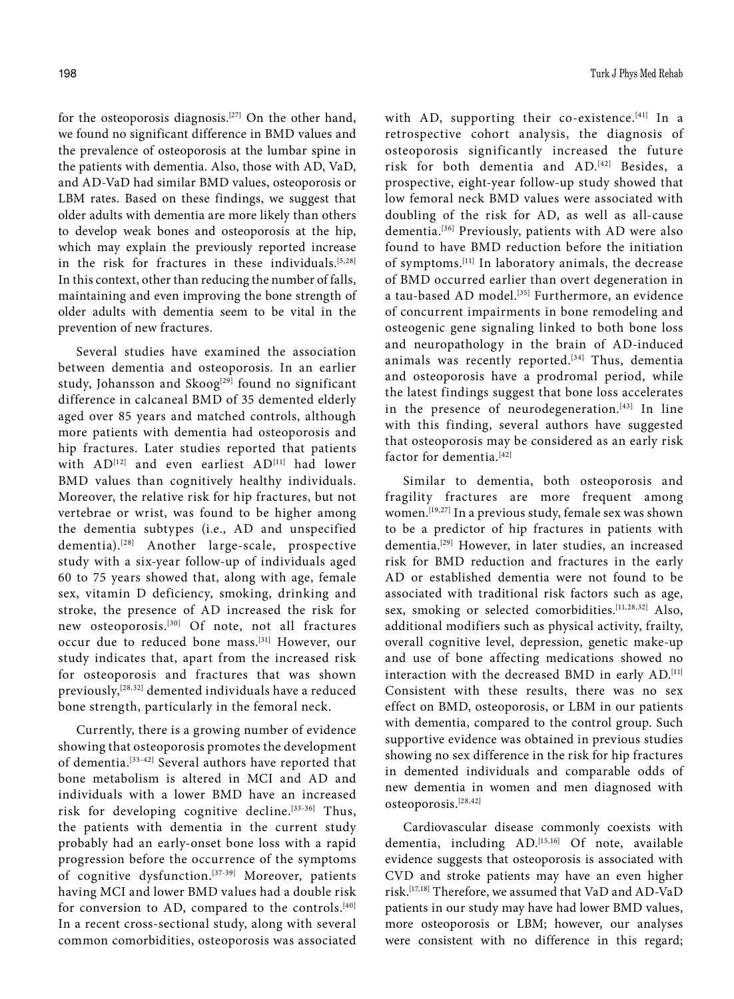for the osteoporosis diagnosis.[27] On the other hand, we found no significant difference in BMD values and the prevalence of osteoporosis at the lumbar spine in the patients with dementia. Also, those with AD, VaD, and AD-VaD had similar BMD values, osteoporosis or LBM rates. Based on these findings, we suggest that older adults with dementia are more likely than others to develop weak bones and osteoporosis at the hip, which may explain the previously reported increase in the risk for fractures in these individuals.  $[5,28]$ In this context, other than reducing the number of falls, maintaining and even improving the bone strength of older adults with dementia seem to be vital in the prevention of new fractures.

Several studies have examined the association between dementia and osteoporosis. In an earlier study, Johansson and Skoog<sup>[29]</sup> found no significant difference in calcaneal BMD of 35 demented elderly aged over 85 years and matched controls, although more patients with dementia had osteoporosis and hip fractures. Later studies reported that patients with AD<sup>[12]</sup> and even earliest AD<sup>[11]</sup> had lower BMD values than cognitively healthy individuals. Moreover, the relative risk for hip fractures, but not vertebrae or wrist, was found to be higher among the dementia subtypes (i.e., AD and unspecified dementia).<sup>[28]</sup> Another large-scale, prospective study with a six-year follow-up of individuals aged 60 to 75 years showed that, along with age, female sex, vitamin D deficiency, smoking, drinking and stroke, the presence of AD increased the risk for new osteoporosis.[30] Of note, not all fractures occur due to reduced bone mass.<sup>[31]</sup> However, our study indicates that, apart from the increased risk for osteoporosis and fractures that was shown previously,[28,32] demented individuals have a reduced bone strength, particularly in the femoral neck.

Currently, there is a growing number of evidence showing that osteoporosis promotes the development of dementia.[33-42] Several authors have reported that bone metabolism is altered in MCI and AD and individuals with a lower BMD have an increased risk for developing cognitive decline.[33-36] Thus, the patients with dementia in the current study probably had an early-onset bone loss with a rapid progression before the occurrence of the symptoms of cognitive dysfunction.<sup>[37-39]</sup> Moreover, patients having MCI and lower BMD values had a double risk for conversion to AD, compared to the controls.[40] In a recent cross-sectional study, along with several common comorbidities, osteoporosis was associated with AD, supporting their co-existence.<sup>[41]</sup> In a retrospective cohort analysis, the diagnosis of osteoporosis significantly increased the future risk for both dementia and AD.[42] Besides, a prospective, eight-year follow-up study showed that low femoral neck BMD values were associated with doubling of the risk for AD, as well as all-cause dementia.[36] Previously, patients with AD were also found to have BMD reduction before the initiation of symptoms.[11] In laboratory animals, the decrease of BMD occurred earlier than overt degeneration in a tau-based AD model.<sup>[35]</sup> Furthermore, an evidence of concurrent impairments in bone remodeling and osteogenic gene signaling linked to both bone loss and neuropathology in the brain of AD-induced animals was recently reported.<sup>[34]</sup> Thus, dementia and osteoporosis have a prodromal period, while the latest findings suggest that bone loss accelerates in the presence of neurodegeneration. $[43]$  In line with this finding, several authors have suggested that osteoporosis may be considered as an early risk factor for dementia.<sup>[42]</sup>

Similar to dementia, both osteoporosis and fragility fractures are more frequent among women.[19,27] In a previous study, female sex was shown to be a predictor of hip fractures in patients with dementia.<sup>[29]</sup> However, in later studies, an increased risk for BMD reduction and fractures in the early AD or established dementia were not found to be associated with traditional risk factors such as age, sex, smoking or selected comorbidities.<sup>[11,28,32]</sup> Also, additional modifiers such as physical activity, frailty, overall cognitive level, depression, genetic make-up and use of bone affecting medications showed no interaction with the decreased BMD in early AD.<sup>[11]</sup> Consistent with these results, there was no sex effect on BMD, osteoporosis, or LBM in our patients with dementia, compared to the control group. Such supportive evidence was obtained in previous studies showing no sex difference in the risk for hip fractures in demented individuals and comparable odds of new dementia in women and men diagnosed with osteoporosis.[28,42]

Cardiovascular disease commonly coexists with dementia, including AD.[15,16] Of note, available evidence suggests that osteoporosis is associated with CVD and stroke patients may have an even higher risk.[17,18] Therefore, we assumed that VaD and AD-VaD patients in our study may have had lower BMD values, more osteoporosis or LBM; however, our analyses were consistent with no difference in this regard;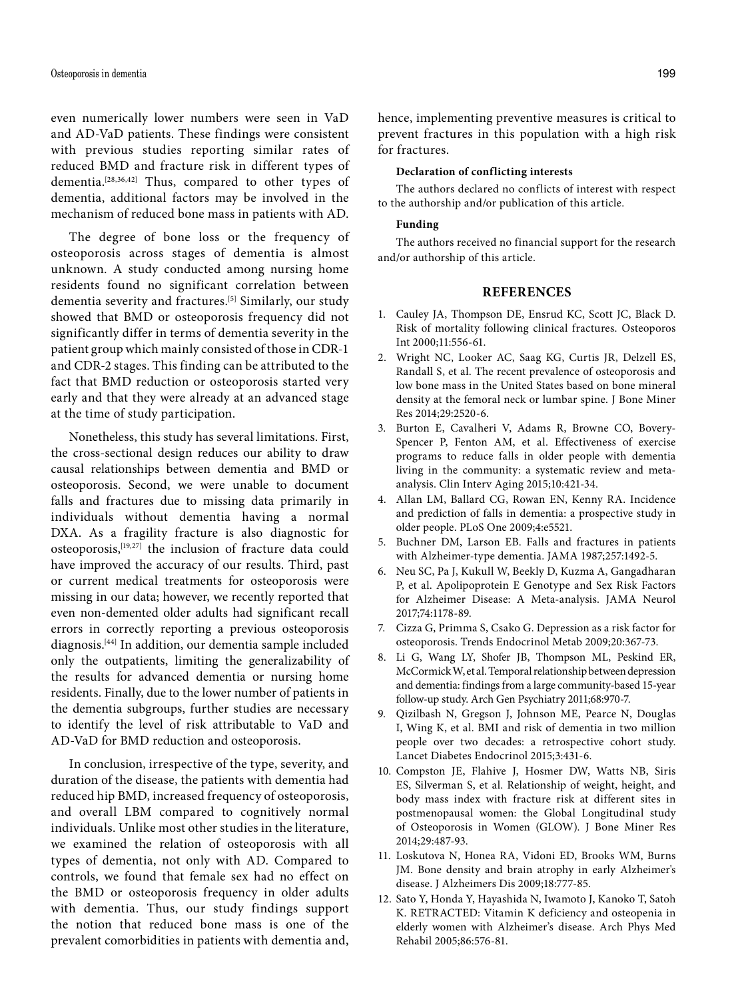even numerically lower numbers were seen in VaD and AD-VaD patients. These findings were consistent with previous studies reporting similar rates of reduced BMD and fracture risk in different types of dementia.[28,36,42] Thus, compared to other types of dementia, additional factors may be involved in the mechanism of reduced bone mass in patients with AD.

The degree of bone loss or the frequency of osteoporosis across stages of dementia is almost unknown. A study conducted among nursing home residents found no significant correlation between dementia severity and fractures.<sup>[5]</sup> Similarly, our study showed that BMD or osteoporosis frequency did not significantly differ in terms of dementia severity in the patient group which mainly consisted of those in CDR-1 and CDR-2 stages. This finding can be attributed to the fact that BMD reduction or osteoporosis started very early and that they were already at an advanced stage at the time of study participation.

Nonetheless, this study has several limitations. First, the cross-sectional design reduces our ability to draw causal relationships between dementia and BMD or osteoporosis. Second, we were unable to document falls and fractures due to missing data primarily in individuals without dementia having a normal DXA. As a fragility fracture is also diagnostic for osteoporosis,[19,27] the inclusion of fracture data could have improved the accuracy of our results. Third, past or current medical treatments for osteoporosis were missing in our data; however, we recently reported that even non-demented older adults had significant recall errors in correctly reporting a previous osteoporosis diagnosis.[44] In addition, our dementia sample included only the outpatients, limiting the generalizability of the results for advanced dementia or nursing home residents. Finally, due to the lower number of patients in the dementia subgroups, further studies are necessary to identify the level of risk attributable to VaD and AD-VaD for BMD reduction and osteoporosis.

In conclusion, irrespective of the type, severity, and duration of the disease, the patients with dementia had reduced hip BMD, increased frequency of osteoporosis, and overall LBM compared to cognitively normal individuals. Unlike most other studies in the literature, we examined the relation of osteoporosis with all types of dementia, not only with AD. Compared to controls, we found that female sex had no effect on the BMD or osteoporosis frequency in older adults with dementia. Thus, our study findings support the notion that reduced bone mass is one of the prevalent comorbidities in patients with dementia and, hence, implementing preventive measures is critical to prevent fractures in this population with a high risk for fractures.

#### **Declaration of conflicting interests**

The authors declared no conflicts of interest with respect to the authorship and/or publication of this article.

#### **Funding**

The authors received no financial support for the research and/or authorship of this article.

#### **REFERENCES**

- 1. Cauley JA, Thompson DE, Ensrud KC, Scott JC, Black D. Risk of mortality following clinical fractures. Osteoporos Int 2000;11:556-61.
- 2. Wright NC, Looker AC, Saag KG, Curtis JR, Delzell ES, Randall S, et al. The recent prevalence of osteoporosis and low bone mass in the United States based on bone mineral density at the femoral neck or lumbar spine. J Bone Miner Res 2014;29:2520-6.
- 3. Burton E, Cavalheri V, Adams R, Browne CO, Bovery-Spencer P, Fenton AM, et al. Effectiveness of exercise programs to reduce falls in older people with dementia living in the community: a systematic review and metaanalysis. Clin Interv Aging 2015;10:421-34.
- 4. Allan LM, Ballard CG, Rowan EN, Kenny RA. Incidence and prediction of falls in dementia: a prospective study in older people. PLoS One 2009;4:e5521.
- 5. Buchner DM, Larson EB. Falls and fractures in patients with Alzheimer-type dementia. JAMA 1987;257:1492-5.
- 6. Neu SC, Pa J, Kukull W, Beekly D, Kuzma A, Gangadharan P, et al. Apolipoprotein E Genotype and Sex Risk Factors for Alzheimer Disease: A Meta-analysis. JAMA Neurol 2017;74:1178-89.
- 7. Cizza G, Primma S, Csako G. Depression as a risk factor for osteoporosis. Trends Endocrinol Metab 2009;20:367-73.
- 8. Li G, Wang LY, Shofer JB, Thompson ML, Peskind ER, McCormick W, et al. Temporal relationship between depression and dementia: findings from a large community-based 15-year follow-up study. Arch Gen Psychiatry 2011;68:970-7.
- 9. Qizilbash N, Gregson J, Johnson ME, Pearce N, Douglas I, Wing K, et al. BMI and risk of dementia in two million people over two decades: a retrospective cohort study. Lancet Diabetes Endocrinol 2015;3:431-6.
- 10. Compston JE, Flahive J, Hosmer DW, Watts NB, Siris ES, Silverman S, et al. Relationship of weight, height, and body mass index with fracture risk at different sites in postmenopausal women: the Global Longitudinal study of Osteoporosis in Women (GLOW). J Bone Miner Res 2014;29:487-93.
- 11. Loskutova N, Honea RA, Vidoni ED, Brooks WM, Burns JM. Bone density and brain atrophy in early Alzheimer's disease. J Alzheimers Dis 2009;18:777-85.
- 12. Sato Y, Honda Y, Hayashida N, Iwamoto J, Kanoko T, Satoh K. RETRACTED: Vitamin K deficiency and osteopenia in elderly women with Alzheimer's disease. Arch Phys Med Rehabil 2005;86:576-81.